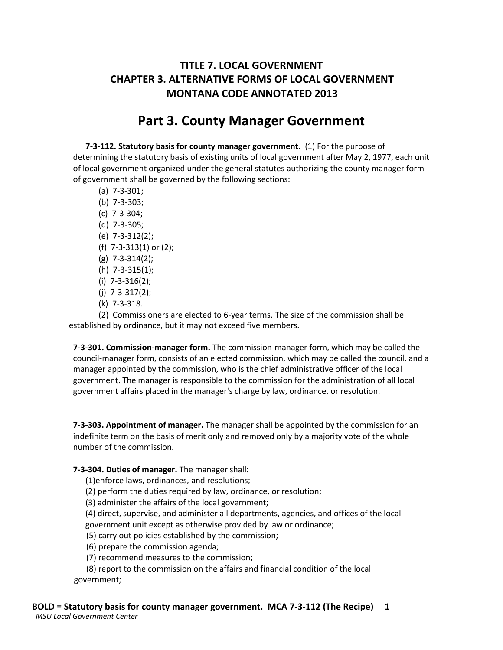## **TITLE 7. LOCAL GOVERNMENT CHAPTER 3. ALTERNATIVE FORMS OF LOCAL GOVERNMENT MONTANA CODE ANNOTATED 2013**

## **Part 3. County Manager Government**

**7-3-112. Statutory basis for county manager government.** (1) For the purpose of determining the statutory basis of existing units of local government after May 2, 1977, each unit of local government organized under the general statutes authorizing the county manager form of government shall be governed by the following sections:

- (a) 7-3-301;
- (b) 7-3-303;
- (c) 7-3-304;
- (d) 7-3-305;
- (e) 7-3-312(2);
- (f) 7-3-313(1) or (2);
- (g) 7-3-314(2);
- (h) 7-3-315(1);
- (i) 7-3-316(2);
- (j) 7-3-317(2);
- (k) 7-3-318.

(2) Commissioners are elected to 6-year terms. The size of the commission shall be established by ordinance, but it may not exceed five members.

**7-3-301. Commission-manager form.** The commission-manager form, which may be called the council-manager form, consists of an elected commission, which may be called the council, and a manager appointed by the commission, who is the chief administrative officer of the local government. The manager is responsible to the commission for the administration of all local government affairs placed in the manager's charge by law, ordinance, or resolution.

**7-3-303. Appointment of manager.** The manager shall be appointed by the commission for an indefinite term on the basis of merit only and removed only by a majority vote of the whole number of the commission.

## **7-3-304. Duties of manager.** The manager shall:

(1)enforce laws, ordinances, and resolutions;

(2) perform the duties required by law, ordinance, or resolution;

(3) administer the affairs of the local government;

(4) direct, supervise, and administer all departments, agencies, and offices of the local government unit except as otherwise provided by law or ordinance;

(5) carry out policies established by the commission;

(6) prepare the commission agenda;

(7) recommend measures to the commission;

(8) report to the commission on the affairs and financial condition of the local government;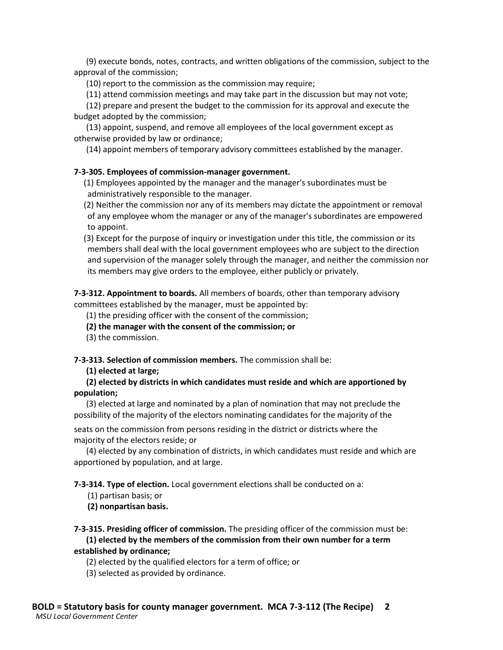(9) execute bonds, notes, contracts, and written obligations of the commission, subject to the approval of the commission;

(10) report to the commission as the commission may require;

(11) attend commission meetings and may take part in the discussion but may not vote;

(12) prepare and present the budget to the commission for its approval and execute the budget adopted by the commission;

(13) appoint, suspend, and remove all employees of the local government except as otherwise provided by law or ordinance;

(14) appoint members of temporary advisory committees established by the manager.

## **7-3-305. Employees of commission-manager government.**

(1) Employees appointed by the manager and the manager's subordinates must be administratively responsible to the manager.

(2) Neither the commission nor any of its members may dictate the appointment or removal of any employee whom the manager or any of the manager's subordinates are empowered to appoint.

(3) Except for the purpose of inquiry or investigation under this title, the commission or its members shall deal with the local government employees who are subject to the direction and supervision of the manager solely through the manager, and neither the commission nor its members may give orders to the employee, either publicly or privately.

**7-3-312. Appointment to boards.** All members of boards, other than temporary advisory committees established by the manager, must be appointed by:

(1) the presiding officer with the consent of the commission;

**(2) the manager with the consent of the commission; or** 

(3) the commission.

**7-3-313. Selection of commission members.** The commission shall be:

**(1) elected at large;**

**(2) elected by districts in which candidates must reside and which are apportioned by population;**

(3) elected at large and nominated by a plan of nomination that may not preclude the possibility of the majority of the electors nominating candidates for the majority of the

seats on the commission from persons residing in the district or districts where the majority of the electors reside; or

(4) elected by any combination of districts, in which candidates must reside and which are apportioned by population, and at large.

**7-3-314. Type of election.** Local government elections shall be conducted on a:

(1) partisan basis; or

**(2) nonpartisan basis.**

**7-3-315. Presiding officer of commission.** The presiding officer of the commission must be: **(1) elected by the members of the commission from their own number for a term established by ordinance;**

(2) elected by the qualified electors for a term of office; or

(3) selected as provided by ordinance.